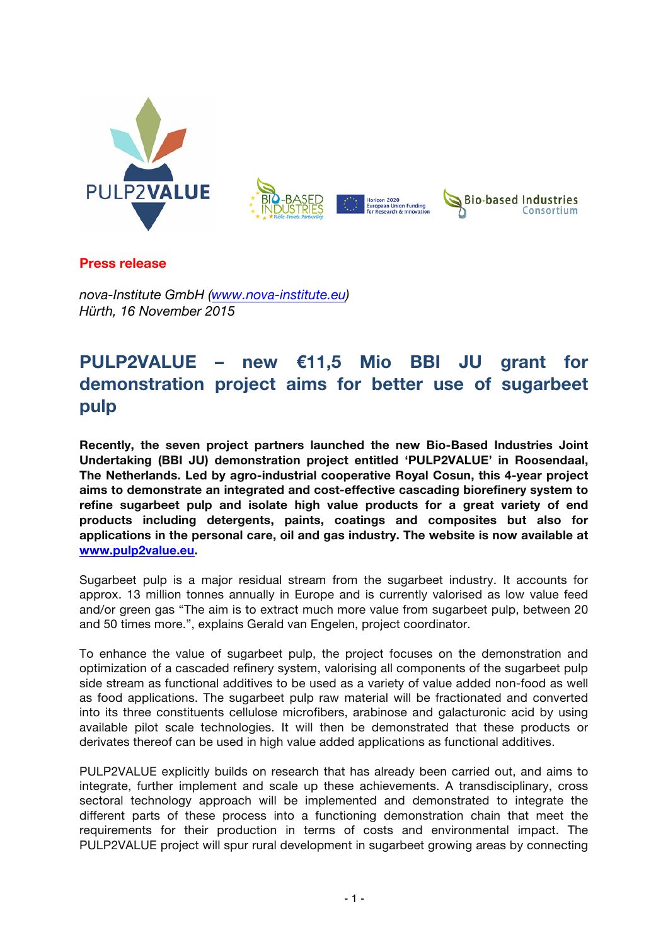

**Press release**

*nova-Institute GmbH (www.nova-institute.eu) Hürth, 16 November 2015*

## **PULP2VALUE – new €11,5 Mio BBI JU grant for demonstration project aims for better use of sugarbeet pulp**

**Recently, the seven project partners launched the new Bio-Based Industries Joint Undertaking (BBI JU) demonstration project entitled 'PULP2VALUE' in Roosendaal, The Netherlands. Led by agro-industrial cooperative Royal Cosun, this 4-year project aims to demonstrate an integrated and cost-effective cascading biorefinery system to refine sugarbeet pulp and isolate high value products for a great variety of end products including detergents, paints, coatings and composites but also for applications in the personal care, oil and gas industry. The website is now available at www.pulp2value.eu.**

Sugarbeet pulp is a major residual stream from the sugarbeet industry. It accounts for approx. 13 million tonnes annually in Europe and is currently valorised as low value feed and/or green gas "The aim is to extract much more value from sugarbeet pulp, between 20 and 50 times more.", explains Gerald van Engelen, project coordinator.

To enhance the value of sugarbeet pulp, the project focuses on the demonstration and optimization of a cascaded refinery system, valorising all components of the sugarbeet pulp side stream as functional additives to be used as a variety of value added non-food as well as food applications. The sugarbeet pulp raw material will be fractionated and converted into its three constituents cellulose microfibers, arabinose and galacturonic acid by using available pilot scale technologies. It will then be demonstrated that these products or derivates thereof can be used in high value added applications as functional additives.

PULP2VALUE explicitly builds on research that has already been carried out, and aims to integrate, further implement and scale up these achievements. A transdisciplinary, cross sectoral technology approach will be implemented and demonstrated to integrate the different parts of these process into a functioning demonstration chain that meet the requirements for their production in terms of costs and environmental impact. The PULP2VALUE project will spur rural development in sugarbeet growing areas by connecting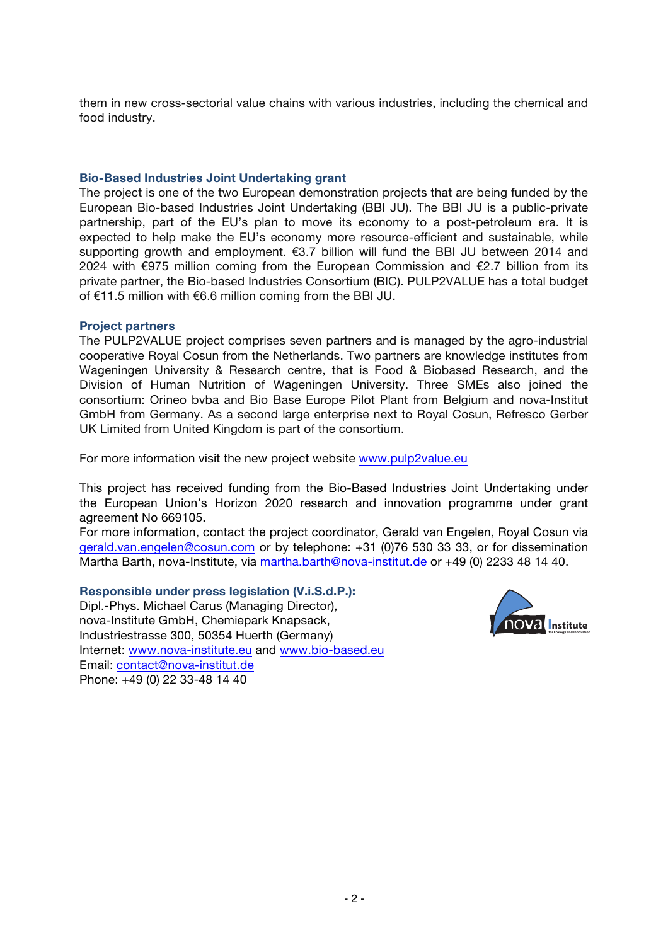them in new cross-sectorial value chains with various industries, including the chemical and food industry.

## **Bio-Based Industries Joint Undertaking grant**

The project is one of the two European demonstration projects that are being funded by the European Bio-based Industries Joint Undertaking (BBI JU). The BBI JU is a public-private partnership, part of the EU's plan to move its economy to a post-petroleum era. It is expected to help make the EU's economy more resource-efficient and sustainable, while supporting growth and employment. €3.7 billion will fund the BBI JU between 2014 and 2024 with €975 million coming from the European Commission and €2.7 billion from its private partner, the Bio-based Industries Consortium (BIC). PULP2VALUE has a total budget of €11.5 million with €6.6 million coming from the BBI JU.

## **Project partners**

The PULP2VALUE project comprises seven partners and is managed by the agro-industrial cooperative Royal Cosun from the Netherlands. Two partners are knowledge institutes from Wageningen University & Research centre, that is Food & Biobased Research, and the Division of Human Nutrition of Wageningen University. Three SMEs also joined the consortium: Orineo bvba and Bio Base Europe Pilot Plant from Belgium and nova-Institut GmbH from Germany. As a second large enterprise next to Royal Cosun, Refresco Gerber UK Limited from United Kingdom is part of the consortium.

For more information visit the new project website www.pulp2value.eu

This project has received funding from the Bio-Based Industries Joint Undertaking under the European Union's Horizon 2020 research and innovation programme under grant agreement No 669105.

For more information, contact the project coordinator, Gerald van Engelen, Royal Cosun via gerald.van.engelen@cosun.com or by telephone: +31 (0)76 530 33 33, or for dissemination Martha Barth, nova-Institute, via martha.barth@nova-institut.de or +49 (0) 2233 48 14 40.

**Responsible under press legislation (V.i.S.d.P.):** Dipl.-Phys. Michael Carus (Managing Director), nova-Institute GmbH, Chemiepark Knapsack, Industriestrasse 300, 50354 Huerth (Germany) Internet: www.nova-institute.eu and www.bio-based.eu Email: contact@nova-institut.de Phone: +49 (0) 22 33-48 14 40